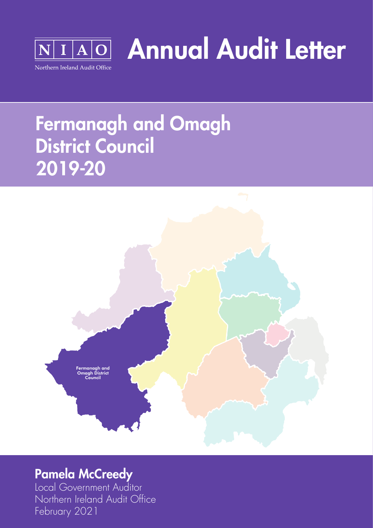

Annual Audit Letter

# Fermanagh and Omagh District Council 2019-20



### Pamela McCreedy

Local Government Auditor Northern Ireland Audit Office February 2021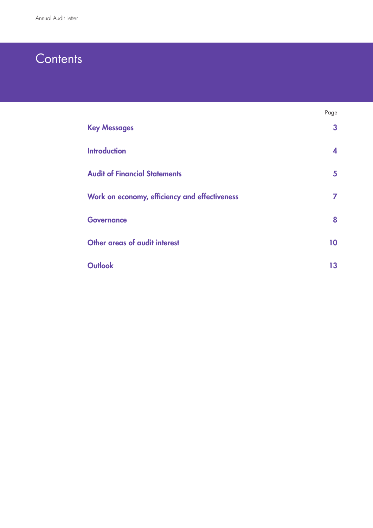### **Contents**

|                                               | Page         |
|-----------------------------------------------|--------------|
| <b>Key Messages</b>                           | $\mathbf{3}$ |
| <b>Introduction</b>                           | 4            |
| <b>Audit of Financial Statements</b>          | 5            |
| Work on economy, efficiency and effectiveness | 7            |
| <b>Governance</b>                             | 8            |
| Other areas of audit interest                 | 10           |
| <b>Outlook</b>                                | 13           |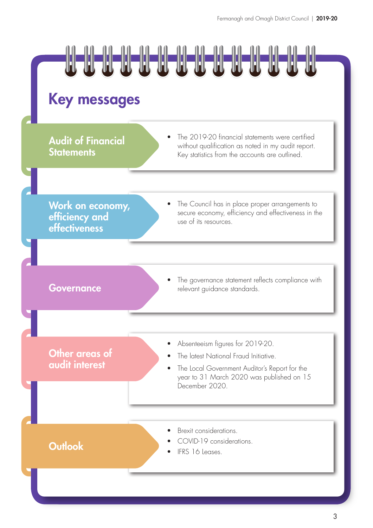

### Key messages

**Audit of Financial Statements** 

• The 2019-20 financial statements were certified without qualification as noted in my audit report. Key statistics from the accounts are outlined.

Work on economy, efficiency and effectiveness

The Council has in place proper arrangements to secure economy, efficiency and effectiveness in the use of its resources.

The governance statement reflects compliance with Governance relevant guidance standards.

Other areas of audit interest

- Absenteeism figures for 2019-20.
- The latest National Fraud Initiative.
- The Local Government Auditor's Report for the year to 31 March 2020 was published on 15 December 2020.

**Outlook COVID-19 cons** 

- Brexit considerations.
- COVID-19 considerations.
-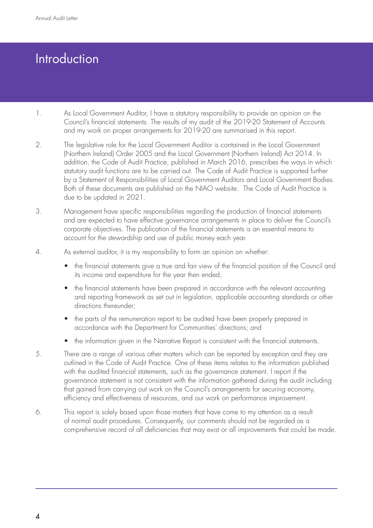## **Introduction**

- 1. As Local Government Auditor, I have a statutory responsibility to provide an opinion on the Council's financial statements. The results of my audit of the 2019-20 Statement of Accounts and my work on proper arrangements for 2019-20 are summarised in this report.
- 2. The legislative role for the Local Government Auditor is contained in the Local Government (Northern Ireland) Order 2005 and the Local Government (Northern Ireland) Act 2014. In addition, the Code of Audit Practice, published in March 2016, prescribes the ways in which statutory audit functions are to be carried out. The Code of Audit Practice is supported further by a Statement of Responsibilities of Local Government Auditors and Local Government Bodies. Both of these documents are published on the NIAO website. The Code of Audit Practice is due to be updated in 2021.
- 3. Management have specific responsibilities regarding the production of financial statements and are expected to have effective governance arrangements in place to deliver the Council's corporate objectives. The publication of the financial statements is an essential means to account for the stewardship and use of public money each year.
- 4. As external auditor, it is my responsibility to form an opinion on whether:
	- the financial statements give a true and fair view of the financial position of the Council and its income and expenditure for the year then ended;
	- the financial statements have been prepared in accordance with the relevant accounting and reporting framework as set out in legislation, applicable accounting standards or other directions thereunder;
	- the parts of the remuneration report to be audited have been properly prepared in accordance with the Department for Communities' directions; and
	- the information given in the Narrative Report is consistent with the financial statements.
- 5. There are a range of various other matters which can be reported by exception and they are outlined in the Code of Audit Practice. One of these items relates to the information published with the audited financial statements, such as the governance statement. I report if the governance statement is not consistent with the information gathered during the audit including that gained from carrying out work on the Council's arrangements for securing economy, efficiency and effectiveness of resources, and our work on performance improvement.
- 6. This report is solely based upon those matters that have come to my attention as a result of normal audit procedures. Consequently, our comments should not be regarded as a comprehensive record of all deficiencies that may exist or all improvements that could be made.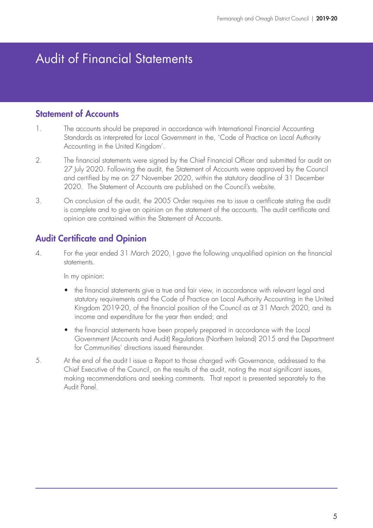### Audit of Financial Statements

#### Statement of Accounts

- 1. The accounts should be prepared in accordance with International Financial Accounting Standards as interpreted for Local Government in the, `Code of Practice on Local Authority Accounting in the United Kingdom'.
- 2. The financial statements were signed by the Chief Financial Officer and submitted for audit on 27 July 2020. Following the audit, the Statement of Accounts were approved by the Council and certified by me on 27 November 2020, within the statutory deadline of 31 December 2020. The Statement of Accounts are published on the Council's website.
- 3. On conclusion of the audit, the 2005 Order requires me to issue a certificate stating the audit is complete and to give an opinion on the statement of the accounts. The audit certificate and opinion are contained within the Statement of Accounts.

#### Audit Certificate and Opinion

4. For the year ended 31 March 2020, I gave the following unqualified opinion on the financial statements.

In my opinion:

- the financial statements give a true and fair view, in accordance with relevant legal and statutory requirements and the Code of Practice on Local Authority Accounting in the United Kingdom 2019-20, of the financial position of the Council as at 31 March 2020, and its income and expenditure for the year then ended; and
- the financial statements have been properly prepared in accordance with the Local Government (Accounts and Audit) Regulations (Northern Ireland) 2015 and the Department for Communities' directions issued thereunder
- 5. At the end of the audit I issue a Report to those charged with Governance, addressed to the Chief Executive of the Council, on the results of the audit, noting the most significant issues, making recommendations and seeking comments. That report is presented separately to the Audit Panel.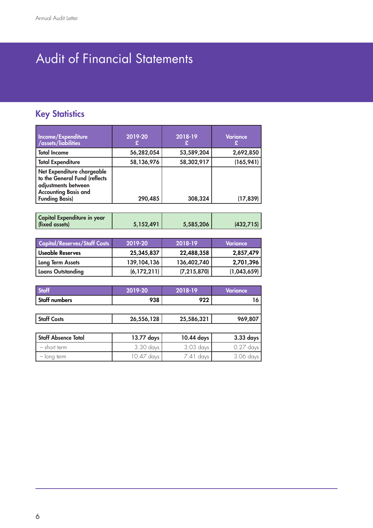# Audit of Financial Statements

### **Key Statistics**

| Income/Expenditure<br>/assets/liabilities                                                                         | 2019-20    | 2018-19    | Variance   |
|-------------------------------------------------------------------------------------------------------------------|------------|------------|------------|
| <b>Total Income</b>                                                                                               | 56,282,054 | 53,589,204 | 2,692,850  |
| <b>Total Expenditure</b>                                                                                          | 58,136,976 | 58,302,917 | (165, 941) |
| Net Expenditure chargeable<br>to the General Fund (reflects<br>adjustments between<br><b>Accounting Basis and</b> |            |            |            |
| <b>Funding Basis)</b>                                                                                             | 290,485    | 308,324    | (17, 839)  |

| <b>Capital/Reserves/Staff Costs</b> | 2019-20       | 2018-19       | <b>Variance</b> |
|-------------------------------------|---------------|---------------|-----------------|
| Useable Reserves                    | 25,345,837    | 22,488,358    | 2,857,479       |
| Long Term Assets                    | 139, 104, 136 | 136,402,740   | 2,701,396       |
| Loans Outstanding                   | (6, 172, 211) | (7, 215, 870) | (1,043,659)     |

| <b>Staff</b>               | 2019-20    | 2018-19     | <b>Variance</b> |
|----------------------------|------------|-------------|-----------------|
| <b>Staff numbers</b>       | 938        | 922         | 16              |
|                            |            |             |                 |
| <b>Staff Costs</b>         | 26,556,128 | 25,586,321  | 969,807         |
|                            |            |             |                 |
| <b>Staff Absence Total</b> | 13.77 days | 10.44 days  | 3.33 days       |
| - short term               | 3.30 days  | 3.03 days   | $0.27$ days     |
| - long term                | 10.47 days | $7.41$ days | 3.06 days       |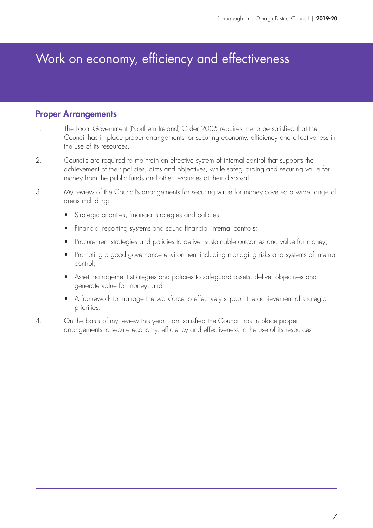### Work on economy, efficiency and effectiveness

#### Proper Arrangements

- 1. The Local Government (Northern Ireland) Order 2005 requires me to be satisfied that the Council has in place proper arrangements for securing economy, efficiency and effectiveness in the use of its resources.
- 2. Councils are required to maintain an effective system of internal control that supports the achievement of their policies, aims and objectives, while safeguarding and securing value for money from the public funds and other resources at their disposal.
- 3. My review of the Council's arrangements for securing value for money covered a wide range of areas including:
	- Strategic priorities, financial strategies and policies;
	- Financial reporting systems and sound financial internal controls;
	- Procurement strategies and policies to deliver sustainable outcomes and value for money;
	- Promoting a good governance environment including managing risks and systems of internal control;
	- Asset management strategies and policies to safeguard assets, deliver objectives and generate value for money; and
	- A framework to manage the workforce to effectively support the achievement of strategic priorities.
- 4. On the basis of my review this year, I am satisfied the Council has in place proper arrangements to secure economy, efficiency and effectiveness in the use of its resources.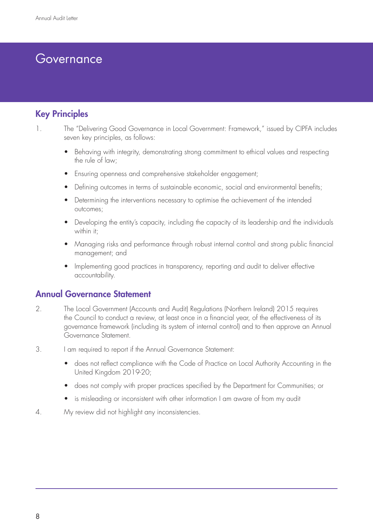### Governance

#### Key Principles

- 1. The "Delivering Good Governance in Local Government: Framework," issued by CIPFA includes seven key principles, as follows:
	- Behaving with integrity, demonstrating strong commitment to ethical values and respecting the rule of law;
	- Ensuring openness and comprehensive stakeholder engagement;
	- Defining outcomes in terms of sustainable economic, social and environmental benefits;
	- Determining the interventions necessary to optimise the achievement of the intended outcomes;
	- Developing the entity's capacity, including the capacity of its leadership and the individuals within it:
	- Managing risks and performance through robust internal control and strong public financial management; and
	- Implementing good practices in transparency, reporting and audit to deliver effective accountability.

#### Annual Governance Statement

- 2. The Local Government (Accounts and Audit) Regulations (Northern Ireland) 2015 requires the Council to conduct a review, at least once in a financial year, of the effectiveness of its governance framework (including its system of internal control) and to then approve an Annual Governance Statement.
- 3. I am required to report if the Annual Governance Statement:
	- does not reflect compliance with the Code of Practice on Local Authority Accounting in the United Kingdom 2019-20;
	- does not comply with proper practices specified by the Department for Communities; or
	- is misleading or inconsistent with other information I am aware of from my audit
- 4. My review did not highlight any inconsistencies.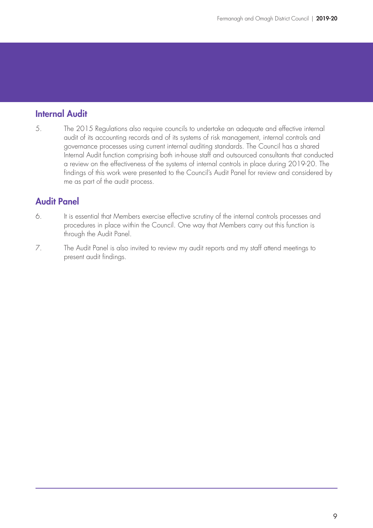#### Internal Audit

5. The 2015 Regulations also require councils to undertake an adequate and effective internal audit of its accounting records and of its systems of risk management, internal controls and governance processes using current internal auditing standards. The Council has a shared Internal Audit function comprising both in-house staff and outsourced consultants that conducted a review on the effectiveness of the systems of internal controls in place during 2019-20. The findings of this work were presented to the Council's Audit Panel for review and considered by me as part of the audit process.

#### Audit Panel

- 6. It is essential that Members exercise effective scrutiny of the internal controls processes and procedures in place within the Council. One way that Members carry out this function is through the Audit Panel.
- 7. The Audit Panel is also invited to review my audit reports and my staff attend meetings to present audit findings.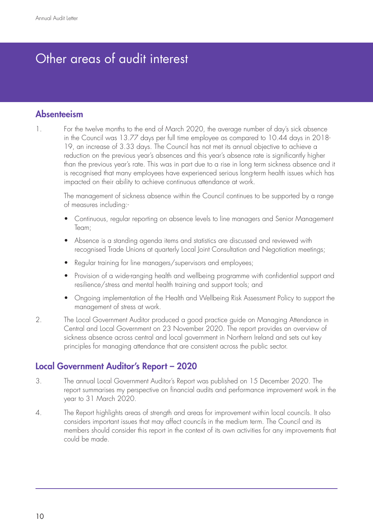### Other areas of audit interest

#### Absenteeism

1. For the twelve months to the end of March 2020, the average number of day's sick absence in the Council was 13.77 days per full time employee as compared to 10.44 days in 2018- 19, an increase of 3.33 days. The Council has not met its annual objective to achieve a reduction on the previous year's absences and this year's absence rate is significantly higher than the previous year's rate. This was in part due to a rise in long term sickness absence and it is recognised that many employees have experienced serious long-term health issues which has impacted on their ability to achieve continuous attendance at work.

The management of sickness absence within the Council continues to be supported by a range of measures including:-

- Continuous, regular reporting on absence levels to line managers and Senior Management Team;
- Absence is a standing agenda items and statistics are discussed and reviewed with recognised Trade Unions at quarterly Local Joint Consultation and Negotiation meetings;
- Regular training for line managers/supervisors and employees;
- Provision of a wide-ranging health and wellbeing programme with confidential support and resilience/stress and mental health training and support tools; and
- Ongoing implementation of the Health and Wellbeing Risk Assessment Policy to support the management of stress at work.
- 2. The Local Government Auditor produced a good practice guide on [Managing Attendance in](https://www.niauditoffice.gov.uk/sites/niao/files/media-files/244347%20NIAO%20Managing%20Attendance%20in%20Central%20and%20Local%20Government_%28WEB%20PDF%29__6.pdf)  [Central and Local Government](https://www.niauditoffice.gov.uk/sites/niao/files/media-files/244347%20NIAO%20Managing%20Attendance%20in%20Central%20and%20Local%20Government_%28WEB%20PDF%29__6.pdf) on 23 November 2020. The report provides an overview of sickness absence across central and local government in Northern Ireland and sets out key principles for managing attendance that are consistent across the public sector.

#### Local Government Auditor's Report – 2020

- 3. The annual [Local Government Auditor's Report](https://www.niauditoffice.gov.uk/sites/niao/files/media-files/246499_NIAO_LGA%20Report__%28Combined%20WEB%20PDF__Final%29.pdf) was published on 15 December 2020. The report summarises my perspective on financial audits and performance improvement work in the year to 31 March 2020.
- 4. The Report highlights areas of strength and areas for improvement within local councils. It also considers important issues that may affect councils in the medium term. The Council and its members should consider this report in the context of its own activities for any improvements that could be made.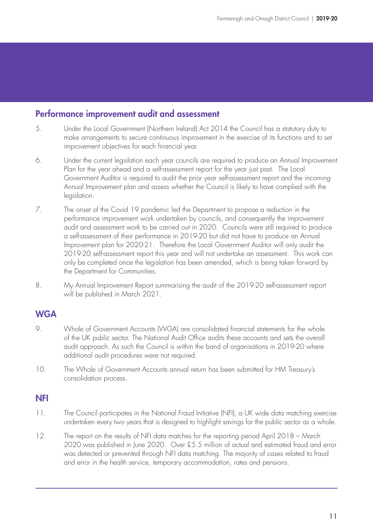#### Performance improvement audit and assessment

- 5. Under the Local Government (Northern Ireland) Act 2014 the Council has a statutory duty to make arrangements to secure continuous improvement in the exercise of its functions and to set improvement objectives for each financial year.
- 6. Under the current legislation each year councils are required to produce an Annual Improvement Plan for the year ahead and a self-assessment report for the year just past. The Local Government Auditor is required to audit the prior year self-assessment report and the incoming Annual Improvement plan and assess whether the Council is likely to have complied with the legislation.
- 7. The onset of the Covid 19 pandemic led the Department to propose a reduction in the performance improvement work undertaken by councils, and consequently the improvement audit and assessment work to be carried out in 2020. Councils were still required to produce a self-assessment of their performance in 2019-20 but did not have to produce an Annual Improvement plan for 2020-21. Therefore the Local Government Auditor will only audit the 2019-20 self-assessment report this year and will not undertake an assessment. This work can only be completed once the legislation has been amended, which is being taken forward by the Department for Communities.
- 8. My Annual Improvement Report summarising the audit of the 2019-20 self-assessment report will be published in March 2021.

#### **WGA**

- 9. Whole of Government Accounts (WGA) are consolidated financial statements for the whole of the UK public sector. The National Audit Office audits these accounts and sets the overall audit approach. As such the Council is within the band of organisations in 2019-20 where additional audit procedures were not required.
- 10. The Whole of Government Accounts annual return has been submitted for HM Treasury's consolidation process.

#### NFI

- 11. The Council participates in the National Fraud Initiative (NFI), a UK wide data matching exercise undertaken every two years that is designed to highlight savings for the public sector as a whole.
- 12. The report on the results of NFI data matches for the reporting period April 2018 March 2020 was published in June 2020. Over £5.5 million of actual and estimated fraud and error was detected or prevented through NFI data matching. The majority of cases related to fraud and error in the health service, temporary accommodation, rates and pensions.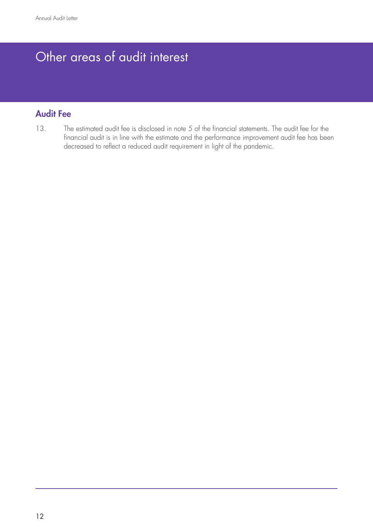# Other areas of audit interest

#### Audit Fee

13. The estimated audit fee is disclosed in note 5 of the financial statements. The audit fee for the financial audit is in line with the estimate and the performance improvement audit fee has been decreased to reflect a reduced audit requirement in light of the pandemic.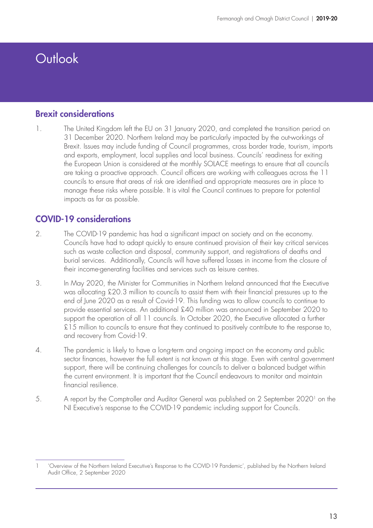## **Outlook**

#### Brexit considerations

1. The United Kingdom left the EU on 31 January 2020, and completed the transition period on 31 December 2020. Northern Ireland may be particularly impacted by the out-workings of Brexit. Issues may include funding of Council programmes, cross border trade, tourism, imports and exports, employment, local supplies and local business. Councils' readiness for exiting the European Union is considered at the monthly SOLACE meetings to ensure that all councils are taking a proactive approach. Council officers are working with colleagues across the 11 councils to ensure that areas of risk are identified and appropriate measures are in place to manage these risks where possible. It is vital the Council continues to prepare for potential impacts as far as possible.

#### COVID-19 considerations

- 2. The COVID-19 pandemic has had a significant impact on society and on the economy. Councils have had to adapt quickly to ensure continued provision of their key critical services such as waste collection and disposal, community support, and registrations of deaths and burial services. Additionally, Councils will have suffered losses in income from the closure of their income-generating facilities and services such as leisure centres.
- 3. In May 2020, the Minister for Communities in Northern Ireland announced that the Executive was allocating £20.3 million to councils to assist them with their financial pressures up to the end of June 2020 as a result of Covid-19. This funding was to allow councils to continue to provide essential services. An additional £40 million was announced in September 2020 to support the operation of all 11 councils. In October 2020, the Executive allocated a further £15 million to councils to ensure that they continued to positively contribute to the response to, and recovery from Covid-19.
- 4. The pandemic is likely to have a long-term and ongoing impact on the economy and public sector finances, however the full extent is not known at this stage. Even with central government support, there will be continuing challenges for councils to deliver a balanced budget within the current environment. It is important that the Council endeavours to monitor and maintain financial resilience.
- 5. A report by the Comptroller and Auditor General was published on 2 September 20201 on the NI Executive's response to the COVID-19 pandemic including support for Councils.

<sup>1</sup> 'Overview of the Northern Ireland Executive's Response to the COVID-19 Pandemic', published by the Northern Ireland Audit Office, 2 September 2020